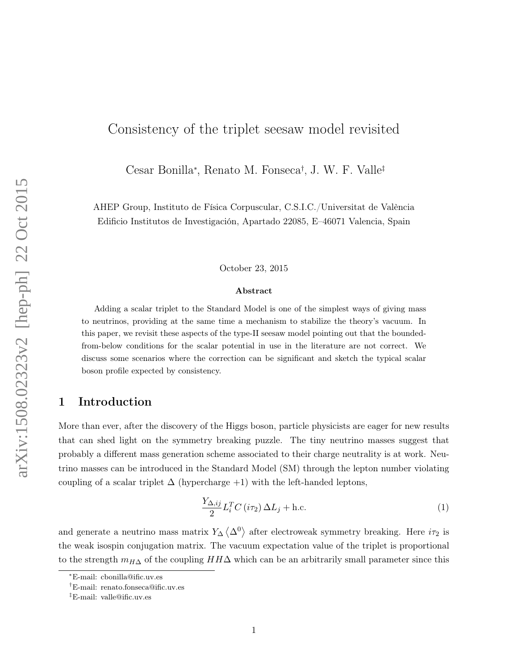# Consistency of the triplet seesaw model revisited

Cesar Bonilla<sup>∗</sup> , Renato M. Fonseca† , J. W. F. Valle‡

AHEP Group, Instituto de Física Corpuscular, C.S.I.C./Universitat de València Edificio Institutos de Investigación, Apartado 22085, E–46071 Valencia, Spain

October 23, 2015

#### Abstract

Adding a scalar triplet to the Standard Model is one of the simplest ways of giving mass to neutrinos, providing at the same time a mechanism to stabilize the theory's vacuum. In this paper, we revisit these aspects of the type-II seesaw model pointing out that the boundedfrom-below conditions for the scalar potential in use in the literature are not correct. We discuss some scenarios where the correction can be significant and sketch the typical scalar boson profile expected by consistency.

# 1 Introduction

More than ever, after the discovery of the Higgs boson, particle physicists are eager for new results that can shed light on the symmetry breaking puzzle. The tiny neutrino masses suggest that probably a different mass generation scheme associated to their charge neutrality is at work. Neutrino masses can be introduced in the Standard Model (SM) through the lepton number violating coupling of a scalar triplet  $\Delta$  (hypercharge +1) with the left-handed leptons,

$$
\frac{Y_{\Delta,ij}}{2}L_i^T C(i\tau_2) \Delta L_j + \text{h.c.}
$$
\n(1)

and generate a neutrino mass matrix  $Y_{\Delta} \langle \Delta^0 \rangle$  after electroweak symmetry breaking. Here  $i\tau_2$  is the weak isospin conjugation matrix. The vacuum expectation value of the triplet is proportional to the strength  $m_{H\Delta}$  of the coupling  $HH\Delta$  which can be an arbitrarily small parameter since this

<sup>∗</sup>E-mail: cbonilla@ific.uv.es

<sup>†</sup>E-mail: renato.fonseca@ific.uv.es

<sup>‡</sup>E-mail: valle@ific.uv.es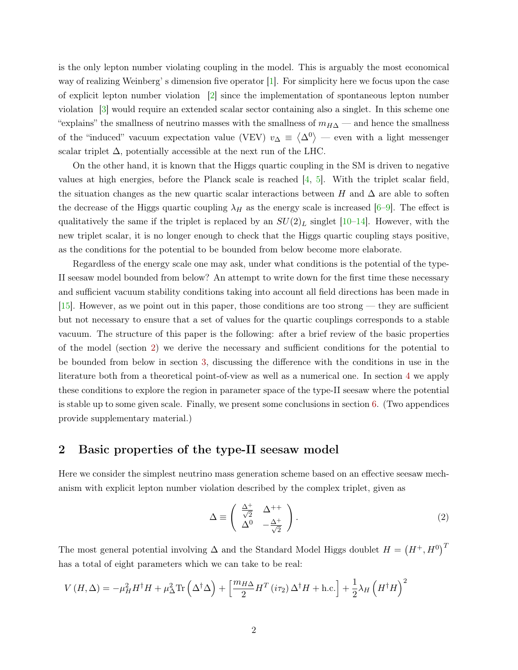is the only lepton number violating coupling in the model. This is arguably the most economical way of realizing Weinberg' s dimension five operator [\[1\]](#page-10-0). For simplicity here we focus upon the case of explicit lepton number violation [\[2\]](#page-11-0) since the implementation of spontaneous lepton number violation [\[3\]](#page-11-1) would require an extended scalar sector containing also a singlet. In this scheme one "explains" the smallness of neutrino masses with the smallness of  $m_{H\Delta}$  — and hence the smallness of the "induced" vacuum expectation value (VEV)  $v_{\Delta} \equiv \langle \Delta^0 \rangle$  — even with a light messenger scalar triplet  $\Delta$ , potentially accessible at the next run of the LHC.

On the other hand, it is known that the Higgs quartic coupling in the SM is driven to negative values at high energies, before the Planck scale is reached  $\begin{bmatrix} 4, 5 \end{bmatrix}$ . With the triplet scalar field, the situation changes as the new quartic scalar interactions between H and  $\Delta$  are able to soften the decrease of the Higgs quartic coupling  $\lambda_H$  as the energy scale is increased [\[6–](#page-11-4)[9\]](#page-11-5). The effect is qualitatively the same if the triplet is replaced by an  $SU(2)_L$  singlet  $[10-14]$  $[10-14]$ . However, with the new triplet scalar, it is no longer enough to check that the Higgs quartic coupling stays positive, as the conditions for the potential to be bounded from below become more elaborate.

Regardless of the energy scale one may ask, under what conditions is the potential of the type-II seesaw model bounded from below? An attempt to write down for the first time these necessary and sufficient vacuum stability conditions taking into account all field directions has been made in [\[15\]](#page-11-8). However, as we point out in this paper, those conditions are too strong — they are sufficient but not necessary to ensure that a set of values for the quartic couplings corresponds to a stable vacuum. The structure of this paper is the following: after a brief review of the basic properties of the model (section [2\)](#page-1-0) we derive the necessary and sufficient conditions for the potential to be bounded from below in section [3,](#page-2-0) discussing the difference with the conditions in use in the literature both from a theoretical point-of-view as well as a numerical one. In section [4](#page-6-0) we apply these conditions to explore the region in parameter space of the type-II seesaw where the potential is stable up to some given scale. Finally, we present some conclusions in section [6.](#page-8-0) (Two appendices provide supplementary material.)

### <span id="page-1-0"></span>2 Basic properties of the type-II seesaw model

Here we consider the simplest neutrino mass generation scheme based on an effective seesaw mechanism with explicit lepton number violation described by the complex triplet, given as

$$
\Delta \equiv \begin{pmatrix} \frac{\Delta^{+}}{\sqrt{2}} & \Delta^{++} \\ \Delta^{0} & -\frac{\Delta^{+}}{\sqrt{2}} \end{pmatrix} . \tag{2}
$$

The most general potential involving  $\Delta$  and the Standard Model Higgs doublet  $H = (H^+, H^0)^T$ has a total of eight parameters which we can take to be real:

$$
V(H, \Delta) = -\mu_H^2 H^{\dagger} H + \mu_{\Delta}^2 \text{Tr}\left(\Delta^{\dagger} \Delta\right) + \left[\frac{m_{H\Delta}}{2} H^T(i\tau_2) \Delta^{\dagger} H + \text{h.c.}\right] + \frac{1}{2} \lambda_H \left(H^{\dagger} H\right)^2
$$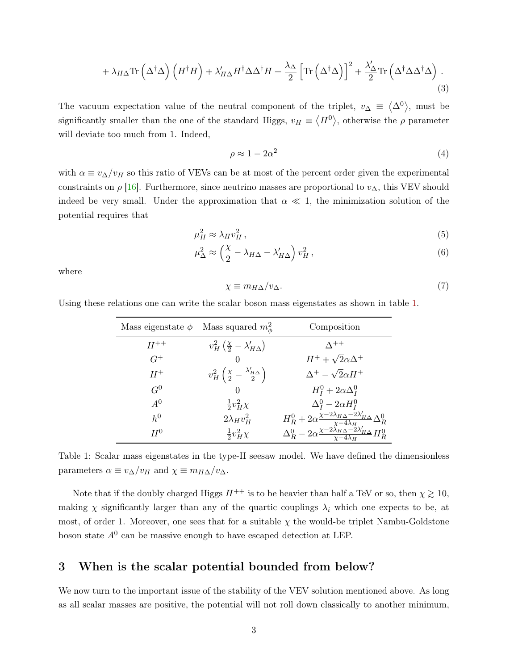$$
+\lambda_{H\Delta}\mathrm{Tr}\left(\Delta^{\dagger}\Delta\right)\left(H^{\dagger}H\right)+\lambda'_{H\Delta}H^{\dagger}\Delta\Delta^{\dagger}H+\frac{\lambda_{\Delta}}{2}\left[\mathrm{Tr}\left(\Delta^{\dagger}\Delta\right)\right]^{2}+\frac{\lambda'_{\Delta}}{2}\mathrm{Tr}\left(\Delta^{\dagger}\Delta\Delta^{\dagger}\Delta\right).
$$
\n(3)

The vacuum expectation value of the neutral component of the triplet,  $v_{\Delta} \equiv \langle \Delta^0 \rangle$ , must be significantly smaller than the one of the standard Higgs,  $v_H \equiv \langle H^0 \rangle$ , otherwise the  $\rho$  parameter will deviate too much from 1. Indeed,

<span id="page-2-2"></span>
$$
\rho \approx 1 - 2\alpha^2 \tag{4}
$$

with  $\alpha \equiv v_{\Delta}/v_H$  so this ratio of VEVs can be at most of the percent order given the experimental constraints on  $\rho$  [\[16\]](#page-11-9). Furthermore, since neutrino masses are proportional to  $v_{\Delta}$ , this VEV should indeed be very small. Under the approximation that  $\alpha \ll 1$ , the minimization solution of the potential requires that

$$
\mu_H^2 \approx \lambda_H v_H^2 \,,\tag{5}
$$

$$
\mu_{\Delta}^2 \approx \left(\frac{\chi}{2} - \lambda_{H\Delta} - \lambda'_{H\Delta}\right) v_H^2, \qquad (6)
$$

where

$$
\chi \equiv m_{H\Delta}/v_{\Delta}.\tag{7}
$$

Using these relations one can write the scalar boson mass eigenstates as shown in table [1.](#page-2-1)

| Mass eigenstate $\phi$ Mass squared $m_\phi^2$ |                                                                 | Composition                                                                                              |  |  |
|------------------------------------------------|-----------------------------------------------------------------|----------------------------------------------------------------------------------------------------------|--|--|
| $H^{++}$                                       | $v_H^2(\frac{\chi}{2}-\lambda'_{H\Delta})$                      | $\wedge$ ++                                                                                              |  |  |
| $G^+$                                          | $\left( \right)$                                                | $H^+ + \sqrt{2}\alpha\Delta^+$                                                                           |  |  |
| $H^+$                                          | $v_H^2\left(\frac{\chi}{2}-\frac{\lambda'_{H\Delta}}{2}\right)$ | $\Delta^+ - \sqrt{2}\alpha H^+$                                                                          |  |  |
| $G^0$                                          | $\left( \right)$                                                | $H_I^0 + 2\alpha \Delta_I^0$                                                                             |  |  |
| $A^0$                                          | $rac{1}{2}v_H^2\chi$                                            | $\Delta_I^0 - 2\alpha H_I^0$                                                                             |  |  |
| $h^0$                                          | $2\lambda_H v_H^2$                                              | $H_R^0 + 2\alpha \frac{\chi - 2\lambda_{H\Delta} - 2\lambda'_{H\Delta}}{\chi - 4\lambda_{H}} \Delta_R^0$ |  |  |
| $H^0$                                          | $rac{1}{2}v_H^2\chi$                                            | $\Delta_R^0-2\alpha\frac{\chi-2\tilde{\lambda}_{H\Delta}-2\lambda'_{H\Delta}}{\chi-4\lambda_H}H_R^0$     |  |  |

<span id="page-2-1"></span>Table 1: Scalar mass eigenstates in the type-II seesaw model. We have defined the dimensionless parameters  $\alpha \equiv v_{\Delta}/v_H$  and  $\chi \equiv m_{H\Delta}/v_{\Delta}$ .

Note that if the doubly charged Higgs  $H^{++}$  is to be heavier than half a TeV or so, then  $\chi \geq 10$ , making  $\chi$  significantly larger than any of the quartic couplings  $\lambda_i$  which one expects to be, at most, of order 1. Moreover, one sees that for a suitable  $\chi$  the would-be triplet Nambu-Goldstone boson state  $A^0$  can be massive enough to have escaped detection at LEP.

# <span id="page-2-0"></span>3 When is the scalar potential bounded from below?

We now turn to the important issue of the stability of the VEV solution mentioned above. As long as all scalar masses are positive, the potential will not roll down classically to another minimum,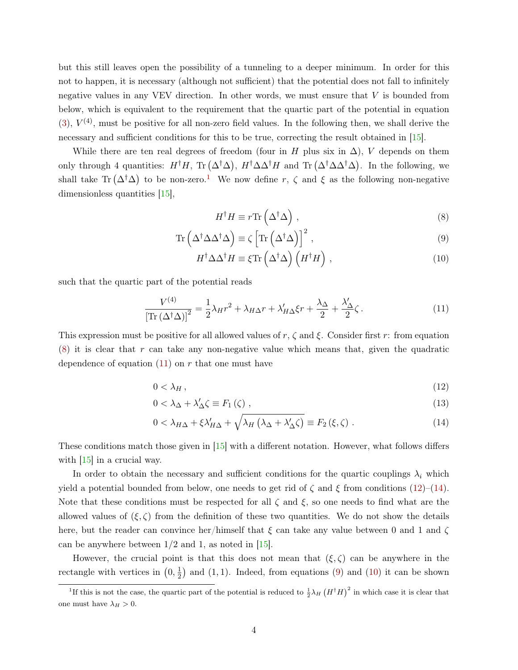but this still leaves open the possibility of a tunneling to a deeper minimum. In order for this not to happen, it is necessary (although not sufficient) that the potential does not fall to infinitely negative values in any VEV direction. In other words, we must ensure that V is bounded from below, which is equivalent to the requirement that the quartic part of the potential in equation  $(3)$ ,  $V<sup>(4)</sup>$ , must be positive for all non-zero field values. In the following then, we shall derive the necessary and sufficient conditions for this to be true, correcting the result obtained in [\[15\]](#page-11-8).

While there are ten real degrees of freedom (four in H plus six in  $\Delta$ ), V depends on them only through 4 quantities:  $H^{\dagger}H$ , Tr  $(\Delta^{\dagger}\Delta)$ ,  $H^{\dagger}\Delta\Delta^{\dagger}H$  and Tr  $(\Delta^{\dagger}\Delta\Delta^{\dagger}\Delta)$ . In the following, we shall take Tr  $(\Delta^{\dagger} \Delta)$  to be non-zero.<sup>[1](#page-3-0)</sup> We now define r,  $\zeta$  and  $\xi$  as the following non-negative dimensionless quantities [\[15\]](#page-11-8),

<span id="page-3-6"></span><span id="page-3-5"></span><span id="page-3-2"></span><span id="page-3-1"></span>
$$
H^{\dagger}H \equiv r \text{Tr}\left(\Delta^{\dagger}\Delta\right) ,\qquad (8)
$$

$$
\operatorname{Tr}\left(\Delta^{\dagger}\Delta\Delta^{\dagger}\Delta\right) \equiv \zeta \left[\operatorname{Tr}\left(\Delta^{\dagger}\Delta\right)\right]^{2},\tag{9}
$$

<span id="page-3-7"></span><span id="page-3-3"></span>
$$
H^{\dagger} \Delta \Delta^{\dagger} H \equiv \xi \text{Tr} \left( \Delta^{\dagger} \Delta \right) \left( H^{\dagger} H \right) , \qquad (10)
$$

such that the quartic part of the potential reads

$$
\frac{V^{(4)}}{\left[\text{Tr}\left(\Delta^{\dagger}\Delta\right)\right]^2} = \frac{1}{2}\lambda_H r^2 + \lambda_{H\Delta} r + \lambda'_{H\Delta}\xi r + \frac{\lambda_{\Delta}}{2} + \frac{\lambda'_{\Delta}}{2}\zeta\,. \tag{11}
$$

This expression must be positive for all allowed values of  $r, \zeta$  and  $\xi$ . Consider first r: from equation  $(8)$  it is clear that r can take any non-negative value which means that, given the quadratic dependence of equation  $(11)$  on r that one must have

$$
0 < \lambda_H \,,\tag{12}
$$

<span id="page-3-4"></span>
$$
0 < \lambda_{\Delta} + \lambda'_{\Delta} \zeta \equiv F_1(\zeta) \tag{13}
$$

$$
0 < \lambda_{H\Delta} + \xi \lambda'_{H\Delta} + \sqrt{\lambda_H \left(\lambda_\Delta + \lambda'_{\Delta} \zeta\right)} \equiv F_2\left(\xi, \zeta\right) \,. \tag{14}
$$

These conditions match those given in [\[15\]](#page-11-8) with a different notation. However, what follows differs with  $\left|15\right|$  in a crucial way.

In order to obtain the necessary and sufficient conditions for the quartic couplings  $\lambda_i$  which yield a potential bounded from below, one needs to get rid of  $\zeta$  and  $\xi$  from conditions [\(12\)](#page-3-3)–[\(14\)](#page-3-4). Note that these conditions must be respected for all  $\zeta$  and  $\xi$ , so one needs to find what are the allowed values of  $(\xi, \zeta)$  from the definition of these two quantities. We do not show the details here, but the reader can convince her/himself that  $\xi$  can take any value between 0 and 1 and  $\zeta$ can be anywhere between  $1/2$  and 1, as noted in [\[15\]](#page-11-8).

However, the crucial point is that this does not mean that  $(\xi, \zeta)$  can be anywhere in the rectangle with vertices in  $(0, \frac{1}{2})$  $\frac{1}{2}$  and  $(1, 1)$ . Indeed, from equations  $(9)$  and  $(10)$  it can be shown

<span id="page-3-0"></span><sup>&</sup>lt;sup>1</sup>If this is not the case, the quartic part of the potential is reduced to  $\frac{1}{2}\lambda_H(H^{\dagger}H)^2$  in which case it is clear that one must have  $\lambda_H > 0$ .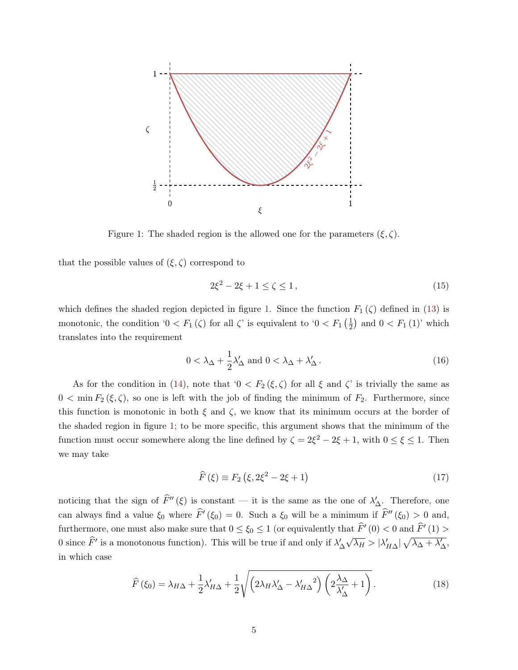

<span id="page-4-0"></span>Figure 1: The shaded region is the allowed one for the parameters  $(\xi, \zeta)$ .

that the possible values of  $(\xi, \zeta)$  correspond to

$$
2\xi^2 - 2\xi + 1 \le \zeta \le 1,\tag{15}
$$

which defines the shaded region depicted in figure [1.](#page-4-0) Since the function  $F_1(\zeta)$  defined in [\(13\)](#page-3-7) is monotonic, the condition ' $0 < F_1(\zeta)$  for all  $\zeta$ ' is equivalent to ' $0 < F_1(\frac{1}{2})$  $(\frac{1}{2})$  and  $0 < F_1(1)$ ' which translates into the requirement

$$
0 < \lambda_{\Delta} + \frac{1}{2}\lambda_{\Delta}' \text{ and } 0 < \lambda_{\Delta} + \lambda_{\Delta}' \,. \tag{16}
$$

As for the condition in [\(14\)](#page-3-4), note that  $0 < F_2(\xi, \zeta)$  for all  $\xi$  and  $\zeta$ ' is trivially the same as  $0 < \min F_2(\xi, \zeta)$ , so one is left with the job of finding the minimum of  $F_2$ . Furthermore, since this function is monotonic in both  $\xi$  and  $\zeta$ , we know that its minimum occurs at the border of the shaded region in figure [1;](#page-4-0) to be more specific, this argument shows that the minimum of the function must occur somewhere along the line defined by  $\zeta = 2\xi^2 - 2\xi + 1$ , with  $0 \le \xi \le 1$ . Then we may take

$$
\widehat{F}\left(\xi\right) \equiv F_2\left(\xi, 2\xi^2 - 2\xi + 1\right) \tag{17}
$$

noticing that the sign of  $\hat{F}''(\xi)$  is constant — it is the same as the one of  $\lambda'_{\Delta}$ . Therefore, one can always find a value  $\xi_0$  where  $\hat{F}'(\xi_0) = 0$ . Such a  $\xi_0$  will be a minimum if  $\hat{F}''(\xi_0) > 0$  and, furthermore, one must also make sure that  $0 \le \xi_0 \le 1$  (or equivalently that  $\hat{F}'(0) < 0$  and  $\hat{F}'(1) > \hat{F}'(1)$ 0 since  $\hat{F}'$  is a monotonous function). This will be true if and only if  $\lambda'_{\Delta}$ √  $\overline{\lambda_H} > |\lambda_{H\Delta}'| \sqrt{\lambda_{\Delta} + \lambda_{\Delta}'},$ in which case

$$
\widehat{F}\left(\xi_{0}\right) = \lambda_{H\Delta} + \frac{1}{2}\lambda'_{H\Delta} + \frac{1}{2}\sqrt{\left(2\lambda_{H}\lambda'_{\Delta} - \lambda'_{H\Delta}^{2}\right)\left(2\frac{\lambda_{\Delta}}{\lambda'_{\Delta}} + 1\right)}.
$$
\n(18)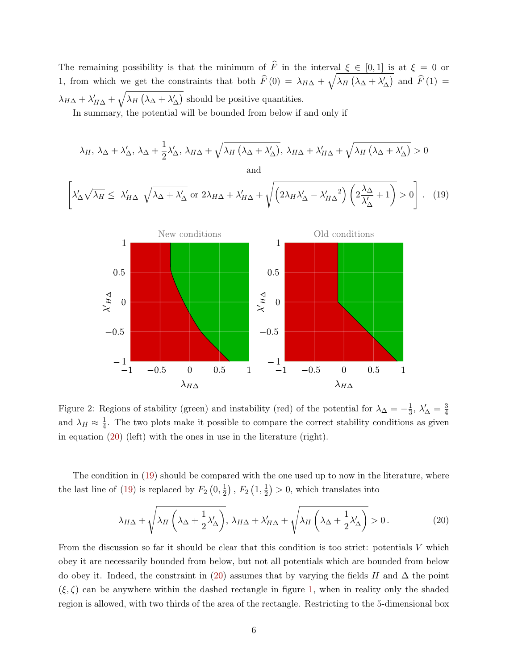The remaining possibility is that the minimum of  $\widehat{F}$  in the interval  $\xi \in [0, 1]$  is at  $\xi = 0$  or 1, from which we get the constraints that both  $\hat{F}(0) = \lambda_{H\Delta} + \sqrt{\lambda_H (\lambda_\Delta + \lambda_\Delta')}$  and  $\hat{F}(1) =$  $\lambda_{H\Delta} + \lambda'_{H\Delta} + \sqrt{\lambda_H (\lambda_\Delta + \lambda'_\Delta)}$  should be positive quantities.

In summary, the potential will be bounded from below if and only if

$$
\lambda_{H}, \lambda_{\Delta} + \lambda'_{\Delta}, \lambda_{\Delta} + \frac{1}{2} \lambda'_{\Delta}, \lambda_{H\Delta} + \sqrt{\lambda_{H} (\lambda_{\Delta} + \lambda'_{\Delta})}, \lambda_{H\Delta} + \lambda'_{H\Delta} + \sqrt{\lambda_{H} (\lambda_{\Delta} + \lambda'_{\Delta})} > 0
$$
  
and  

$$
\left[ \lambda'_{\Delta} \sqrt{\lambda_{H}} \le |\lambda'_{H\Delta}| \sqrt{\lambda_{\Delta} + \lambda'_{\Delta}} \text{ or } 2\lambda_{H\Delta} + \lambda'_{H\Delta} + \sqrt{\left( 2\lambda_{H}\lambda'_{\Delta} - \lambda'_{H\Delta}^{2} \right) \left( 2\frac{\lambda_{\Delta}}{\lambda'_{\Delta}} + 1 \right)} > 0 \right].
$$
 (19)

<span id="page-5-1"></span>

<span id="page-5-2"></span>Figure 2: Regions of stability (green) and instability (red) of the potential for  $\lambda_{\Delta} = -\frac{1}{3}$  $\frac{1}{3}$ ,  $\lambda'_{\Delta} = \frac{3}{4}$ 4 and  $\lambda_H \approx \frac{1}{4}$  $\frac{1}{4}$ . The two plots make it possible to compare the correct stability conditions as given in equation [\(20\)](#page-5-0) (left) with the ones in use in the literature (right).

The condition in [\(19\)](#page-5-1) should be compared with the one used up to now in the literature, where the last line of [\(19\)](#page-5-1) is replaced by  $F_2(0, \frac{1}{2})$  $(\frac{1}{2})$  ,  $F_2$   $(1, \frac{1}{2})$  $(\frac{1}{2}) > 0$ , which translates into

<span id="page-5-0"></span>
$$
\lambda_{H\Delta} + \sqrt{\lambda_H \left( \lambda_\Delta + \frac{1}{2} \lambda_\Delta' \right)}, \ \lambda_{H\Delta} + \lambda_{H\Delta}' + \sqrt{\lambda_H \left( \lambda_\Delta + \frac{1}{2} \lambda_\Delta' \right)} > 0. \tag{20}
$$

From the discussion so far it should be clear that this condition is too strict: potentials V which obey it are necessarily bounded from below, but not all potentials which are bounded from below do obey it. Indeed, the constraint in [\(20\)](#page-5-0) assumes that by varying the fields H and  $\Delta$  the point  $(\xi, \zeta)$  can be anywhere within the dashed rectangle in figure [1,](#page-4-0) when in reality only the shaded region is allowed, with two thirds of the area of the rectangle. Restricting to the 5-dimensional box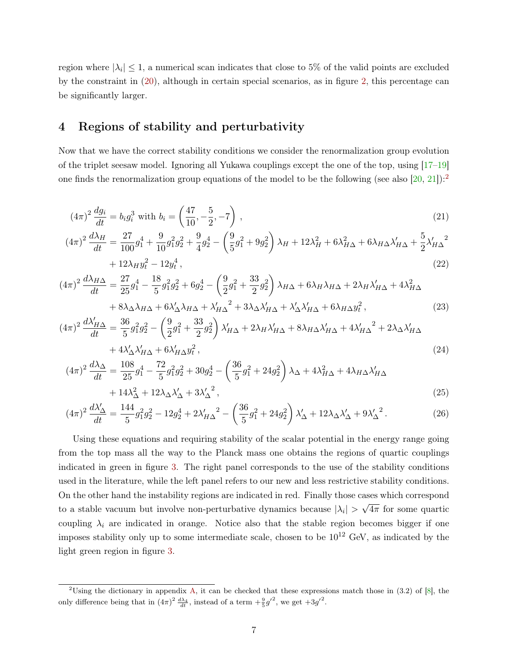region where  $|\lambda_i| \leq 1$ , a numerical scan indicates that close to 5% of the valid points are excluded by the constraint in [\(20\)](#page-5-0), although in certain special scenarios, as in figure [2,](#page-5-2) this percentage can be significantly larger.

# <span id="page-6-0"></span>4 Regions of stability and perturbativity

Now that we have the correct stability conditions we consider the renormalization group evolution of the triplet seesaw model. Ignoring all Yukawa couplings except the one of the top, using [\[17–](#page-11-10)[19\]](#page-12-0) one finds the renormalization group equations of the model to be the following (see also  $[20, 21]$  $[20, 21]$  $[20, 21]$ ):

$$
(4\pi)^2 \frac{dg_i}{dt} = b_i g_i^3 \text{ with } b_i = \left(\frac{47}{10}, -\frac{5}{2}, -7\right),\tag{21}
$$

$$
(4\pi)^2 \frac{d\lambda_H}{dt} = \frac{27}{100} g_1^4 + \frac{9}{10} g_1^2 g_2^2 + \frac{9}{4} g_2^4 - \left(\frac{9}{5} g_1^2 + 9 g_2^2\right) \lambda_H + 12 \lambda_H^2 + 6 \lambda_{H\Delta}^2 + 6 \lambda_{H\Delta} \lambda_{H\Delta}' + \frac{5}{2} \lambda_{H\Delta}'^2
$$
  
+  $12 \lambda_H y_t^2 - 12 y_t^4$ , (22)

$$
(4\pi)^2 \frac{d\lambda_{H\Delta}}{dt} = \frac{27}{25}g_1^4 - \frac{18}{5}g_1^2g_2^2 + 6g_2^4 - \left(\frac{9}{2}g_1^2 + \frac{33}{2}g_2^2\right)\lambda_{H\Delta} + 6\lambda_H\lambda_{H\Delta} + 2\lambda_H\lambda'_{H\Delta} + 4\lambda^2_{H\Delta} + 8\lambda_{\Delta}\lambda_{H\Delta} + 6\lambda'_{\Delta}\lambda_{H\Delta} + \lambda'_{H\Delta}^2 + 3\lambda_{\Delta}\lambda'_{H\Delta} + \lambda'_{\Delta}\lambda'_{H\Delta} + 6\lambda_{H\Delta}g_t^2, \tag{23}
$$

$$
(4\pi)^2 \frac{d\lambda'_{H\Delta}}{dt} = \frac{36}{5} g_1^2 g_2^2 - \left(\frac{9}{2} g_1^2 + \frac{33}{2} g_2^2\right) \lambda'_{H\Delta} + 2\lambda_H \lambda'_{H\Delta} + 8\lambda_{H\Delta} \lambda'_{H\Delta} + 4\lambda'_{H\Delta}^2 + 2\lambda_\Delta \lambda'_{H\Delta} + 4\lambda'_{\Delta} \lambda'_{H\Delta} + 6\lambda'_{H\Delta} g_t^2, \tag{24}
$$

$$
(4\pi)^2 \frac{d\lambda_{\Delta}}{dt} = \frac{108}{25} g_1^4 - \frac{72}{5} g_1^2 g_2^2 + 30 g_2^4 - \left(\frac{36}{5} g_1^2 + 24 g_2^2\right) \lambda_{\Delta} + 4 \lambda_{H\Delta}^2 + 4 \lambda_{H\Delta} \lambda'_{H\Delta} + 14 \lambda_{\Delta}^2 + 12 \lambda_{\Delta} \lambda'_{\Delta} + 3 \lambda_{\Delta}^2,
$$
\n(25)

$$
(4\pi)^2 \frac{d\lambda'_{\Delta}}{dt} = \frac{144}{5} g_1^2 g_2^2 - 12g_2^4 + 2\lambda'_{H\Delta}^2 - \left(\frac{36}{5} g_1^2 + 24g_2^2\right) \lambda'_{\Delta} + 12\lambda_{\Delta} \lambda'_{\Delta} + 9\lambda'_{\Delta}^2. \tag{26}
$$

Using these equations and requiring stability of the scalar potential in the energy range going from the top mass all the way to the Planck mass one obtains the regions of quartic couplings indicated in green in figure [3.](#page-7-0) The right panel corresponds to the use of the stability conditions used in the literature, while the left panel refers to our new and less restrictive stability conditions. On the other hand the instability regions are indicated in red. Finally those cases which correspond to a stable vacuum but involve non-perturbative dynamics because  $|\lambda_i|$  > √  $4\pi$  for some quartic coupling  $\lambda_i$  are indicated in orange. Notice also that the stable region becomes bigger if one imposes stability only up to some intermediate scale, chosen to be  $10^{12}$  GeV, as indicated by the light green region in figure [3.](#page-7-0)

<span id="page-6-1"></span><sup>&</sup>lt;sup>2</sup>Using the dictionary in appendix [A,](#page-10-1) it can be checked that these expressions match those in  $(3.2)$  of [\[8\]](#page-11-11), the only difference being that in  $(4\pi)^2 \frac{d\lambda_4}{dt}$ , instead of a term  $+\frac{9}{5}g'^2$ , we get  $+3g'^2$ .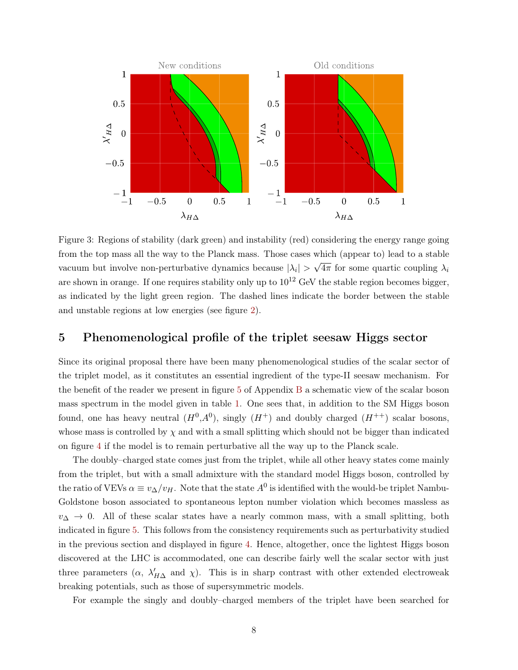

<span id="page-7-0"></span>Figure 3: Regions of stability (dark green) and instability (red) considering the energy range going from the top mass all the way to the Planck mass. Those cases which (appear to) lead to a stable vacuum but involve non-perturbative dynamics because  $|\lambda_i|$  > √  $4\pi$  for some quartic coupling  $\lambda_i$ are shown in orange. If one requires stability only up to  $10^{12}$  GeV the stable region becomes bigger, as indicated by the light green region. The dashed lines indicate the border between the stable and unstable regions at low energies (see figure [2\)](#page-5-2).

## 5 Phenomenological profile of the triplet seesaw Higgs sector

Since its original proposal there have been many phenomenological studies of the scalar sector of the triplet model, as it constitutes an essential ingredient of the type-II seesaw mechanism. For the benefit of the reader we present in figure [5](#page-10-2) of Appendix [B](#page-10-3) a schematic view of the scalar boson mass spectrum in the model given in table [1.](#page-2-1) One sees that, in addition to the SM Higgs boson found, one has heavy neutral  $(H^0, A^0)$ , singly  $(H^+)$  and doubly charged  $(H^{++})$  scalar bosons, whose mass is controlled by  $\chi$  and with a small splitting which should not be bigger than indicated on figure [4](#page-9-0) if the model is to remain perturbative all the way up to the Planck scale.

The doubly–charged state comes just from the triplet, while all other heavy states come mainly from the triplet, but with a small admixture with the standard model Higgs boson, controlled by the ratio of VEVs  $\alpha \equiv v_{\Delta}/v_H$ . Note that the state  $A^0$  is identified with the would-be triplet Nambu-Goldstone boson associated to spontaneous lepton number violation which becomes massless as  $v_{\Delta} \rightarrow 0$ . All of these scalar states have a nearly common mass, with a small splitting, both indicated in figure [5.](#page-10-2) This follows from the consistency requirements such as perturbativity studied in the previous section and displayed in figure [4.](#page-9-0) Hence, altogether, once the lightest Higgs boson discovered at the LHC is accommodated, one can describe fairly well the scalar sector with just three parameters  $(\alpha, \lambda'_{H\Delta} \text{ and } \chi)$ . This is in sharp contrast with other extended electroweak breaking potentials, such as those of supersymmetric models.

For example the singly and doubly–charged members of the triplet have been searched for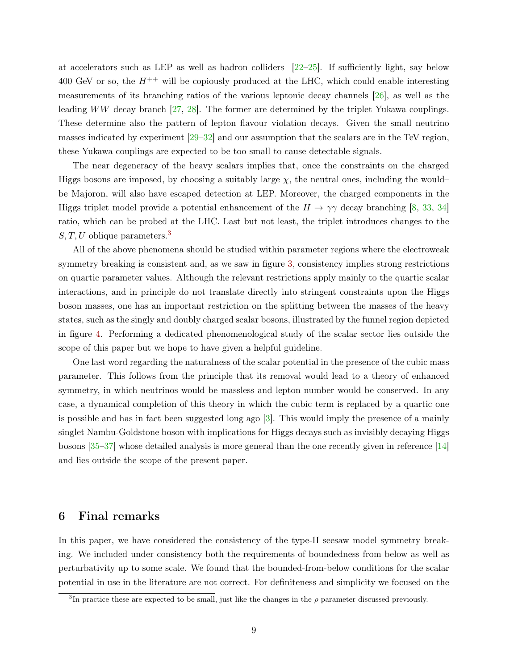at accelerators such as LEP as well as hadron colliders  $[22-25]$  $[22-25]$ . If sufficiently light, say below 400 GeV or so, the  $H^{++}$  will be copiously produced at the LHC, which could enable interesting measurements of its branching ratios of the various leptonic decay channels [\[26\]](#page-12-5), as well as the leading WW decay branch [\[27,](#page-12-6) [28\]](#page-12-7). The former are determined by the triplet Yukawa couplings. These determine also the pattern of lepton flavour violation decays. Given the small neutrino masses indicated by experiment [\[29](#page-12-8)[–32\]](#page-13-0) and our assumption that the scalars are in the TeV region, these Yukawa couplings are expected to be too small to cause detectable signals.

The near degeneracy of the heavy scalars implies that, once the constraints on the charged Higgs bosons are imposed, by choosing a suitably large  $\chi$ , the neutral ones, including the wouldbe Majoron, will also have escaped detection at LEP. Moreover, the charged components in the Higgs triplet model provide a potential enhancement of the  $H \to \gamma\gamma$  decay branching [\[8,](#page-11-11) [33,](#page-13-1) [34\]](#page-13-2) ratio, which can be probed at the LHC. Last but not least, the triplet introduces changes to the  $S, T, U$  oblique parameters.<sup>[3](#page-8-1)</sup>

All of the above phenomena should be studied within parameter regions where the electroweak symmetry breaking is consistent and, as we saw in figure [3,](#page-7-0) consistency implies strong restrictions on quartic parameter values. Although the relevant restrictions apply mainly to the quartic scalar interactions, and in principle do not translate directly into stringent constraints upon the Higgs boson masses, one has an important restriction on the splitting between the masses of the heavy states, such as the singly and doubly charged scalar bosons, illustrated by the funnel region depicted in figure [4.](#page-9-0) Performing a dedicated phenomenological study of the scalar sector lies outside the scope of this paper but we hope to have given a helpful guideline.

One last word regarding the naturalness of the scalar potential in the presence of the cubic mass parameter. This follows from the principle that its removal would lead to a theory of enhanced symmetry, in which neutrinos would be massless and lepton number would be conserved. In any case, a dynamical completion of this theory in which the cubic term is replaced by a quartic one is possible and has in fact been suggested long ago [\[3\]](#page-11-1). This would imply the presence of a mainly singlet Nambu-Goldstone boson with implications for Higgs decays such as invisibly decaying Higgs bosons [\[35](#page-13-3)[–37\]](#page-13-4) whose detailed analysis is more general than the one recently given in reference [\[14\]](#page-11-7) and lies outside the scope of the present paper.

## <span id="page-8-0"></span>6 Final remarks

In this paper, we have considered the consistency of the type-II seesaw model symmetry breaking. We included under consistency both the requirements of boundedness from below as well as perturbativity up to some scale. We found that the bounded-from-below conditions for the scalar potential in use in the literature are not correct. For definiteness and simplicity we focused on the

<span id="page-8-1"></span><sup>&</sup>lt;sup>3</sup>In practice these are expected to be small, just like the changes in the  $\rho$  parameter discussed previously.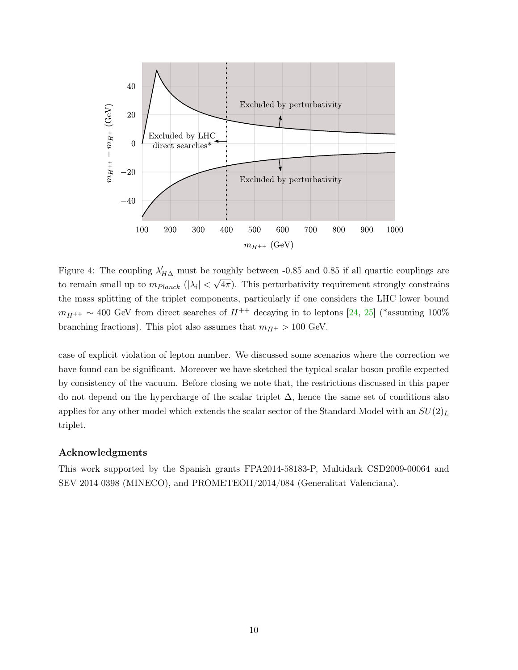

<span id="page-9-0"></span>Figure 4: The coupling  $\lambda'_{H\Delta}$  must be roughly between -0.85 and 0.85 if all quartic couplings are to remain small up to  $m_{Planck}$  ( $|\lambda_i| < \sqrt{4\pi}$ ). This perturbativity requirement strongly constrains the mass splitting of the triplet components, particularly if one considers the LHC lower bound  $m_{H^{++}} \sim 400$  GeV from direct searches of  $H^{++}$  decaying in to leptons [\[24,](#page-12-9) [25\]](#page-12-4) (\*assuming 100% branching fractions). This plot also assumes that  $m_{H^+} > 100$  GeV.

case of explicit violation of lepton number. We discussed some scenarios where the correction we have found can be significant. Moreover we have sketched the typical scalar boson profile expected by consistency of the vacuum. Before closing we note that, the restrictions discussed in this paper do not depend on the hypercharge of the scalar triplet  $\Delta$ , hence the same set of conditions also applies for any other model which extends the scalar sector of the Standard Model with an  $SU(2)_L$ triplet.

### Acknowledgments

This work supported by the Spanish grants FPA2014-58183-P, Multidark CSD2009-00064 and SEV-2014-0398 (MINECO), and PROMETEOII/2014/084 (Generalitat Valenciana).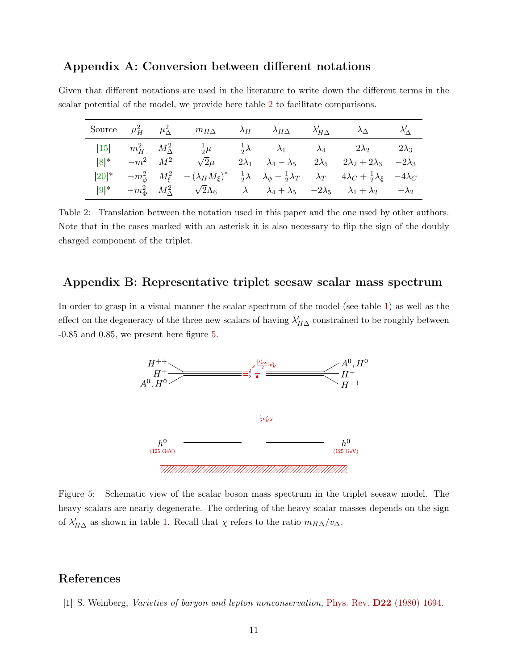## <span id="page-10-1"></span>Appendix A: Conversion between different notations

|                      | Source $\mu_H^2$ $\mu_\Delta^2$ $m_{H\Delta}$ $\lambda_H$ $\lambda_{H\Delta}$ $\lambda'_{H\Delta}$ $\lambda'_{\Delta}$ $\lambda'_{\Delta}$                                        |  |                                                                                           |  |
|----------------------|-----------------------------------------------------------------------------------------------------------------------------------------------------------------------------------|--|-------------------------------------------------------------------------------------------|--|
|                      | $[15]$ $m_H^2$ $M_\Delta^2$ $\frac{1}{2}\mu$ $\frac{1}{2}\lambda$ $\lambda_1$ $\lambda_4$ $2\lambda_2$ $2\lambda_3$                                                               |  |                                                                                           |  |
| $[8]^*$ $-m^2$ $M^2$ | $\sqrt{2}\mu$                                                                                                                                                                     |  | $2\lambda_1$ $\lambda_4 - \lambda_5$ $2\lambda_5$ $2\lambda_2 + 2\lambda_3$ $-2\lambda_3$ |  |
|                      | $[20]^*$ $-m_\phi^2$ $M_\xi^2$ $- (\lambda_H M_\xi)^*$ $\frac{1}{2}\lambda$ $\lambda_\phi - \frac{1}{2}\lambda_T$ $\lambda_T$ $4\lambda_C + \frac{1}{2}\lambda_\xi$ $-4\lambda_C$ |  |                                                                                           |  |
|                      | $-m_{\Phi}^2$ $M_{\Delta}^2$ $\sqrt{2\Lambda_6}$ $\lambda$ $\lambda_4 + \lambda_5$ $-2\lambda_5$ $\lambda_1 + \lambda_2$ $-\lambda_2$                                             |  |                                                                                           |  |

Given that different notations are used in the literature to write down the different terms in the scalar potential of the model, we provide here table [2](#page-10-4) to facilitate comparisons.

<span id="page-10-4"></span>Table 2: Translation between the notation used in this paper and the one used by other authors. Note that in the cases marked with an asterisk it is also necessary to flip the sign of the doubly charged component of the triplet.

## <span id="page-10-3"></span>Appendix B: Representative triplet seesaw scalar mass spectrum

In order to grasp in a visual manner the scalar spectrum of the model (see table [1\)](#page-2-1) as well as the effect on the degeneracy of the three new scalars of having  $\lambda'_{H\Delta}$  constrained to be roughly between -0.85 and 0.85, we present here figure [5.](#page-10-2)



<span id="page-10-2"></span>Figure 5: Schematic view of the scalar boson mass spectrum in the triplet seesaw model. The heavy scalars are nearly degenerate. The ordering of the heavy scalar masses depends on the sign of  $\lambda'_{H\Delta}$  as shown in table [1.](#page-2-1) Recall that  $\chi$  refers to the ratio  $m_{H\Delta}/v_{\Delta}$ .

# References

<span id="page-10-0"></span>[1] S. Weinberg, Varieties of baryon and lepton nonconservation, [Phys. Rev.](http://dx.doi.org/10.1103/PhysRevD.22.1694) D22 [\(1980\) 1694.](http://dx.doi.org/10.1103/PhysRevD.22.1694)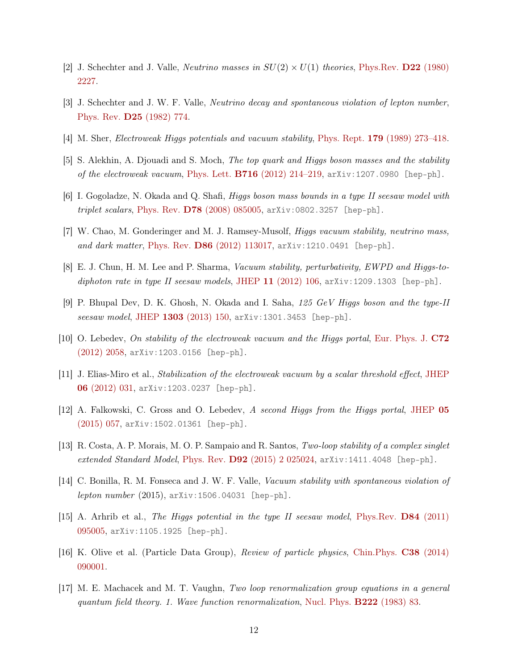- <span id="page-11-0"></span>[2] J. Schechter and J. Valle, *Neutrino masses in*  $SU(2) \times U(1)$  *theories*, [Phys.Rev.](http://dx.doi.org/10.1103/PhysRevD.22.2227) **D22** [\(1980\)](http://dx.doi.org/10.1103/PhysRevD.22.2227) [2227.](http://dx.doi.org/10.1103/PhysRevD.22.2227)
- <span id="page-11-1"></span>[3] J. Schechter and J. W. F. Valle, Neutrino decay and spontaneous violation of lepton number, [Phys. Rev.](http://dx.doi.org/10.1103/PhysRevD.25.774) D25 [\(1982\) 774.](http://dx.doi.org/10.1103/PhysRevD.25.774)
- <span id="page-11-2"></span>[4] M. Sher, Electroweak Higgs potentials and vacuum stability, [Phys. Rept.](http://dx.doi.org/10.1016/0370-1573(89)90061-6) 179 [\(1989\) 273–418.](http://dx.doi.org/10.1016/0370-1573(89)90061-6)
- <span id="page-11-3"></span>[5] S. Alekhin, A. Djouadi and S. Moch, The top quark and Higgs boson masses and the stability of the electroweak vacuum, [Phys. Lett.](http://dx.doi.org/10.1016/j.physletb.2012.08.024)  $B716$  [\(2012\) 214–219,](http://dx.doi.org/10.1016/j.physletb.2012.08.024) ar $X$ iv:1207.0980 [hep-ph].
- <span id="page-11-4"></span>[6] I. Gogoladze, N. Okada and Q. Shafi, Higgs boson mass bounds in a type II seesaw model with triplet scalars, [Phys. Rev.](http://dx.doi.org/10.1103/PhysRevD.78.085005)  $D78$  [\(2008\) 085005,](http://dx.doi.org/10.1103/PhysRevD.78.085005) [arXiv:0802.3257 \[hep-ph\]](http://arxiv.org/abs/0802.3257).
- [7] W. Chao, M. Gonderinger and M. J. Ramsey-Musolf, Higgs vacuum stability, neutrino mass, and dark matter, [Phys. Rev.](http://dx.doi.org/10.1103/PhysRevD.86.113017) D86 [\(2012\) 113017,](http://dx.doi.org/10.1103/PhysRevD.86.113017) [arXiv:1210.0491 \[hep-ph\]](http://arxiv.org/abs/1210.0491).
- <span id="page-11-11"></span>[8] E. J. Chun, H. M. Lee and P. Sharma, Vacuum stability, perturbativity, EWPD and Higgs-to-diphoton rate in type II seesaw models, [JHEP](http://dx.doi.org/10.1007/JHEP11(2012)106)  $11$  [\(2012\) 106,](http://dx.doi.org/10.1007/JHEP11(2012)106) [arXiv:1209.1303 \[hep-ph\]](http://arxiv.org/abs/1209.1303).
- <span id="page-11-5"></span>[9] P. Bhupal Dev, D. K. Ghosh, N. Okada and I. Saha, 125 GeV Higgs boson and the type-II seesaw model, [JHEP](http://dx.doi.org/10.1007/JHEP03(2013)150, 10.1007/JHEP05(2013)049) 1303 [\(2013\) 150,](http://dx.doi.org/10.1007/JHEP03(2013)150, 10.1007/JHEP05(2013)049) [arXiv:1301.3453 \[hep-ph\]](http://arxiv.org/abs/1301.3453).
- <span id="page-11-6"></span>[10] O. Lebedev, On stability of the electroweak vacuum and the Higgs portal, [Eur. Phys. J.](http://dx.doi.org/10.1140/epjc/s10052-012-2058-2) [C72](http://dx.doi.org/10.1140/epjc/s10052-012-2058-2) [\(2012\) 2058,](http://dx.doi.org/10.1140/epjc/s10052-012-2058-2) [arXiv:1203.0156 \[hep-ph\]](http://arxiv.org/abs/1203.0156).
- [11] J. Elias-Miro et al., Stabilization of the electroweak vacuum by a scalar threshold effect, [JHEP](http://dx.doi.org/10.1007/JHEP06(2012)031) [0](http://dx.doi.org/10.1007/JHEP06(2012)031)6 [\(2012\) 031,](http://dx.doi.org/10.1007/JHEP06(2012)031) [arXiv:1203.0237 \[hep-ph\]](http://arxiv.org/abs/1203.0237).
- [12] A. Falkowski, C. Gross and O. Lebedev, A second Higgs from the Higgs portal, [JHEP](http://dx.doi.org/10.1007/JHEP05(2015)057) [05](http://dx.doi.org/10.1007/JHEP05(2015)057) [\(2015\) 057,](http://dx.doi.org/10.1007/JHEP05(2015)057) [arXiv:1502.01361 \[hep-ph\]](http://arxiv.org/abs/1502.01361).
- [13] R. Costa, A. P. Morais, M. O. P. Sampaio and R. Santos, Two-loop stability of a complex singlet extended Standard Model, [Phys. Rev.](http://dx.doi.org/10.1103/PhysRevD.92.025024)  $D92$  [\(2015\) 2 025024,](http://dx.doi.org/10.1103/PhysRevD.92.025024) [arXiv:1411.4048 \[hep-ph\]](http://arxiv.org/abs/1411.4048).
- <span id="page-11-7"></span>[14] C. Bonilla, R. M. Fonseca and J. W. F. Valle, *Vacuum stability with spontaneous violation of*  $lepton\ number$  (2015),  $arXiv:1506.04031$  [hep-ph].
- <span id="page-11-8"></span>[15] A. Arhrib et al., The Higgs potential in the type II seesaw model, [Phys.Rev.](http://dx.doi.org/10.1103/PhysRevD.84.095005) D84 [\(2011\)](http://dx.doi.org/10.1103/PhysRevD.84.095005) [095005,](http://dx.doi.org/10.1103/PhysRevD.84.095005) [arXiv:1105.1925 \[hep-ph\]](http://arxiv.org/abs/1105.1925).
- <span id="page-11-9"></span>[16] K. Olive et al. (Particle Data Group), Review of particle physics, [Chin.Phys.](http://dx.doi.org/10.1088/1674-1137/38/9/090001) C38 [\(2014\)](http://dx.doi.org/10.1088/1674-1137/38/9/090001) [090001.](http://dx.doi.org/10.1088/1674-1137/38/9/090001)
- <span id="page-11-10"></span>[17] M. E. Machacek and M. T. Vaughn, Two loop renormalization group equations in a general quantum field theory. 1. Wave function renormalization, [Nucl. Phys.](http://dx.doi.org/10.1016/0550-3213(83)90610-7) B222 [\(1983\) 83.](http://dx.doi.org/10.1016/0550-3213(83)90610-7)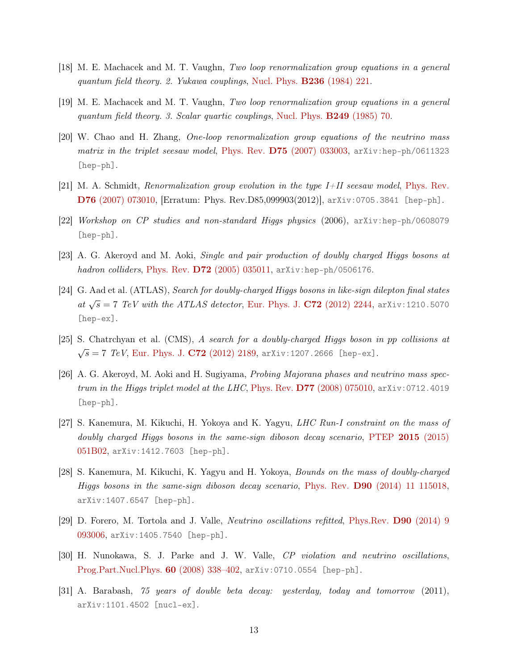- [18] M. E. Machacek and M. T. Vaughn, Two loop renormalization group equations in a general quantum field theory. 2. Yukawa couplings, [Nucl. Phys.](http://dx.doi.org/10.1016/0550-3213(84)90533-9) B236 [\(1984\) 221.](http://dx.doi.org/10.1016/0550-3213(84)90533-9)
- <span id="page-12-0"></span>[19] M. E. Machacek and M. T. Vaughn, Two loop renormalization group equations in a general quantum field theory. 3. Scalar quartic couplings, [Nucl. Phys.](http://dx.doi.org/10.1016/0550-3213(85)90040-9) B249 [\(1985\) 70.](http://dx.doi.org/10.1016/0550-3213(85)90040-9)
- <span id="page-12-1"></span>[20] W. Chao and H. Zhang, One-loop renormalization group equations of the neutrino mass matrix in the triplet seesaw model, [Phys. Rev.](http://dx.doi.org/10.1103/PhysRevD.75.033003)  $D75$  [\(2007\) 033003,](http://dx.doi.org/10.1103/PhysRevD.75.033003) [arXiv:hep-ph/0611323](http://arxiv.org/abs/hep-ph/0611323) [\[hep-ph\]](http://arxiv.org/abs/hep-ph/0611323).
- <span id="page-12-2"></span>[21] M. A. Schmidt, Renormalization group evolution in the type I+II seesaw model, [Phys. Rev.](http://dx.doi.org/10.1103/PhysRevD.85.099903, 10.1103/PhysRevD.76.073010) [D](http://dx.doi.org/10.1103/PhysRevD.85.099903, 10.1103/PhysRevD.76.073010)76 [\(2007\) 073010,](http://dx.doi.org/10.1103/PhysRevD.85.099903, 10.1103/PhysRevD.76.073010) [Erratum: Phys. Rev.D85,099903(2012)], [arXiv:0705.3841 \[hep-ph\]](http://arxiv.org/abs/0705.3841).
- <span id="page-12-3"></span>[22] Workshop on CP studies and non-standard Higgs physics (2006), [arXiv:hep-ph/0608079](http://arxiv.org/abs/hep-ph/0608079) [\[hep-ph\]](http://arxiv.org/abs/hep-ph/0608079).
- [23] A. G. Akeroyd and M. Aoki, Single and pair production of doubly charged Higgs bosons at hadron colliders, [Phys. Rev.](http://dx.doi.org/10.1103/PhysRevD.72.035011)  $D72$  [\(2005\) 035011,](http://dx.doi.org/10.1103/PhysRevD.72.035011) [arXiv:hep-ph/0506176](http://arxiv.org/abs/hep-ph/0506176).
- <span id="page-12-9"></span>[24] G. Aad et al. (ATLAS), Search for doubly-charged Higgs bosons in like-sign dilepton final states at  $\sqrt{s} = 7$  TeV with the ATLAS detector, [Eur. Phys. J.](http://dx.doi.org/10.1140/epjc/s10052-012-2244-2) C72 [\(2012\) 2244,](http://dx.doi.org/10.1140/epjc/s10052-012-2244-2) [arXiv:1210.5070](http://arxiv.org/abs/1210.5070) [\[hep-ex\]](http://arxiv.org/abs/1210.5070).
- <span id="page-12-4"></span>[25] S. Chatrchyan et al. (CMS), A search for a doubly-charged Higgs boson in pp collisions at  $\sqrt{s} = 7$  TeV, [Eur. Phys. J.](http://dx.doi.org/10.1140/epjc/s10052-012-2189-5) C72 [\(2012\) 2189,](http://dx.doi.org/10.1140/epjc/s10052-012-2189-5) [arXiv:1207.2666 \[hep-ex\]](http://arxiv.org/abs/1207.2666).
- <span id="page-12-5"></span>[26] A. G. Akeroyd, M. Aoki and H. Sugiyama, Probing Majorana phases and neutrino mass spec-trum in the Higgs triplet model at the LHC, [Phys. Rev.](http://dx.doi.org/10.1103/PhysRevD.77.075010)  $D77$  [\(2008\) 075010,](http://dx.doi.org/10.1103/PhysRevD.77.075010) [arXiv:0712.4019](http://arxiv.org/abs/0712.4019) [\[hep-ph\]](http://arxiv.org/abs/0712.4019).
- <span id="page-12-6"></span>[27] S. Kanemura, M. Kikuchi, H. Yokoya and K. Yagyu, LHC Run-I constraint on the mass of doubly charged Higgs bosons in the same-sign diboson decay scenario, [PTEP](http://dx.doi.org/10.1093/ptep/ptv071) 2015 [\(2015\)](http://dx.doi.org/10.1093/ptep/ptv071) [051B02,](http://dx.doi.org/10.1093/ptep/ptv071) [arXiv:1412.7603 \[hep-ph\]](http://arxiv.org/abs/1412.7603).
- <span id="page-12-7"></span>[28] S. Kanemura, M. Kikuchi, K. Yagyu and H. Yokoya, Bounds on the mass of doubly-charged Higgs bosons in the same-sign diboson decay scenario, [Phys. Rev.](http://dx.doi.org/10.1103/PhysRevD.90.115018) D90 [\(2014\) 11 115018,](http://dx.doi.org/10.1103/PhysRevD.90.115018) [arXiv:1407.6547 \[hep-ph\]](http://arxiv.org/abs/1407.6547).
- <span id="page-12-8"></span>[29] D. Forero, M. Tortola and J. Valle, Neutrino oscillations refitted, [Phys.Rev.](http://dx.doi.org/10.1103/PhysRevD.90.093006) D90 [\(2014\) 9](http://dx.doi.org/10.1103/PhysRevD.90.093006) [093006,](http://dx.doi.org/10.1103/PhysRevD.90.093006) [arXiv:1405.7540 \[hep-ph\]](http://arxiv.org/abs/1405.7540).
- [30] H. Nunokawa, S. J. Parke and J. W. Valle, CP violation and neutrino oscillations, [Prog.Part.Nucl.Phys.](http://dx.doi.org/10.1016/j.ppnp.2007.10.001) 60 [\(2008\) 338–402,](http://dx.doi.org/10.1016/j.ppnp.2007.10.001) [arXiv:0710.0554 \[hep-ph\]](http://arxiv.org/abs/0710.0554).
- [31] A. Barabash, 75 years of double beta decay: yesterday, today and tomorrow (2011), [arXiv:1101.4502 \[nucl-ex\]](http://arxiv.org/abs/1101.4502).